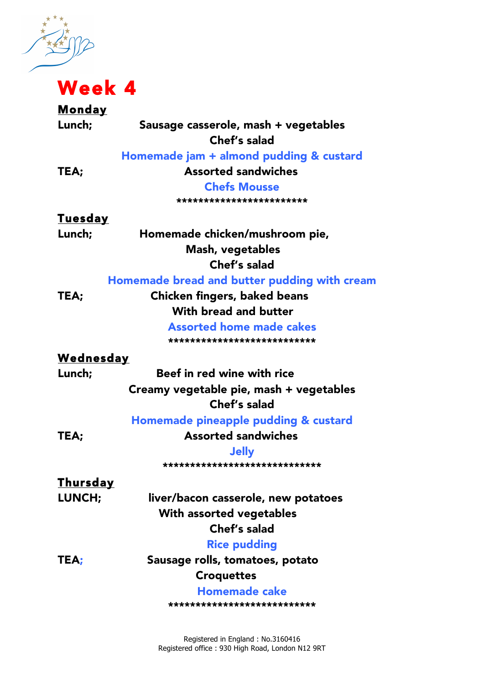姓 Week 4

| <u>Monday</u>    |                                              |
|------------------|----------------------------------------------|
| Lunch;           | Sausage casserole, mash + vegetables         |
|                  | Chef's salad                                 |
|                  | Homemade jam + almond pudding & custard      |
| TEA;             | <b>Assorted sandwiches</b>                   |
|                  | <b>Chefs Mousse</b>                          |
|                  | ************************                     |
| <b>Tuesday</b>   |                                              |
| Lunch;           | Homemade chicken/mushroom pie,               |
|                  | Mash, vegetables                             |
|                  | Chef's salad                                 |
|                  | Homemade bread and butter pudding with cream |
| TEA;             | <b>Chicken fingers, baked beans</b>          |
|                  | With bread and butter                        |
|                  | <b>Assorted home made cakes</b>              |
|                  | ***************************                  |
| <u>Wednesday</u> |                                              |
| Lunch;           | Beef in red wine with rice                   |
|                  | Creamy vegetable pie, mash + vegetables      |
|                  | Chef's salad                                 |
|                  | Homemade pineapple pudding & custard         |
| TEA;             | <b>Assorted sandwiches</b>                   |
|                  | <b>Jelly</b>                                 |
|                  | ******************************               |
| <u>Thursday</u>  |                                              |
| LUNCH;           | liver/bacon casserole, new potatoes          |
|                  | With assorted vegetables                     |
|                  | Chef's salad                                 |
|                  | <b>Rice pudding</b>                          |
| TEA;             | Sausage rolls, tomatoes, potato              |
|                  | <b>Croquettes</b>                            |
|                  | <b>Homemade cake</b>                         |
|                  | ***************************                  |